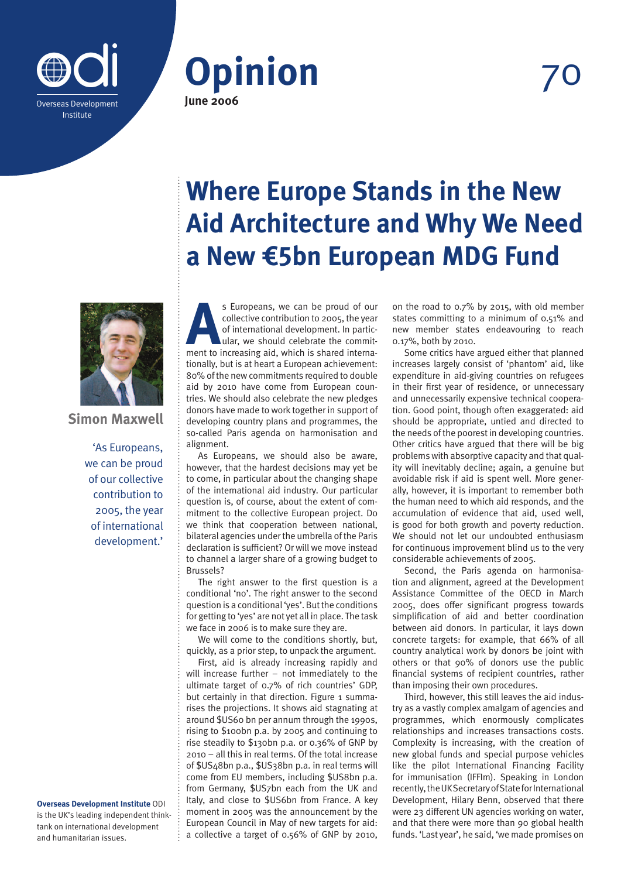





# **Simon Maxwell**

'As Europeans, we can be proud of our collective contribution to 2005, the year of international development.'

**Overseas Development Institute** ODI is the UK's leading independent thinktank on international development and humanitarian issues.

# **Where Europe Stands in the New Aid Architecture and Why We Need a New €5bn European MDG Fund**

**AS Europeans, we can be proud of our collective contribution to 2005, the year of international development. In particular, we should celebrate the commitment to increasing aid, which is shared interna**collective contribution to 2005, the year of international development. In particular, we should celebrate the committionally, but is at heart a European achievement: 80% of the new commitments required to double aid by 2010 have come from European countries. We should also celebrate the new pledges donors have made to work together in support of developing country plans and programmes, the so-called Paris agenda on harmonisation and alignment.

As Europeans, we should also be aware, however, that the hardest decisions may yet be to come, in particular about the changing shape of the international aid industry. Our particular question is, of course, about the extent of commitment to the collective European project. Do we think that cooperation between national, bilateral agencies under the umbrella of the Paris declaration is sufficient? Or will we move instead to channel a larger share of a growing budget to Brussels?

The right answer to the first question is a conditional 'no'. The right answer to the second question is a conditional 'yes'. But the conditions for getting to 'yes' are not yet all in place. The task we face in 2006 is to make sure they are.

We will come to the conditions shortly, but, quickly, as a prior step, to unpack the argument.

First, aid is already increasing rapidly and will increase further – not immediately to the ultimate target of 0.7% of rich countries' GDP, but certainly in that direction. Figure 1 summarises the projections. It shows aid stagnating at around \$US60 bn per annum through the 1990s, rising to \$100bn p.a. by 2005 and continuing to rise steadily to \$130bn p.a. or 0.36% of GNP by 2010 – all this in real terms. Of the total increase of \$US48bn p.a., \$US38bn p.a. in real terms will come from EU members, including \$US8bn p.a. from Germany, \$US7bn each from the UK and Italy, and close to \$US6bn from France. A key moment in 2005 was the announcement by the European Council in May of new targets for aid: a collective a target of 0.56% of GNP by 2010, on the road to 0.7% by 2015, with old member states committing to a minimum of 0.51% and new member states endeavouring to reach 0.17%, both by 2010.

Some critics have argued either that planned increases largely consist of 'phantom' aid, like expenditure in aid-giving countries on refugees in their first year of residence, or unnecessary and unnecessarily expensive technical cooperation. Good point, though often exaggerated: aid should be appropriate, untied and directed to the needs of the poorest in developing countries. Other critics have argued that there will be big problems with absorptive capacity and that quality will inevitably decline; again, a genuine but avoidable risk if aid is spent well. More generally, however, it is important to remember both the human need to which aid responds, and the accumulation of evidence that aid, used well, is good for both growth and poverty reduction. We should not let our undoubted enthusiasm for continuous improvement blind us to the very considerable achievements of 2005.

Second, the Paris agenda on harmonisation and alignment, agreed at the Development Assistance Committee of the OECD in March 2005, does offer significant progress towards simplification of aid and better coordination between aid donors. In particular, it lays down concrete targets: for example, that 66% of all country analytical work by donors be joint with others or that 90% of donors use the public financial systems of recipient countries, rather than imposing their own procedures.

Third, however, this still leaves the aid industry as a vastly complex amalgam of agencies and programmes, which enormously complicates relationships and increases transactions costs. Complexity is increasing, with the creation of new global funds and special purpose vehicles like the pilot International Financing Facility for immunisation (IFFIm). Speaking in London recently, the UK Secretary of State for International Development, Hilary Benn, observed that there were 23 different UN agencies working on water, and that there were more than 90 global health funds. 'Last year', he said, 'we made promises on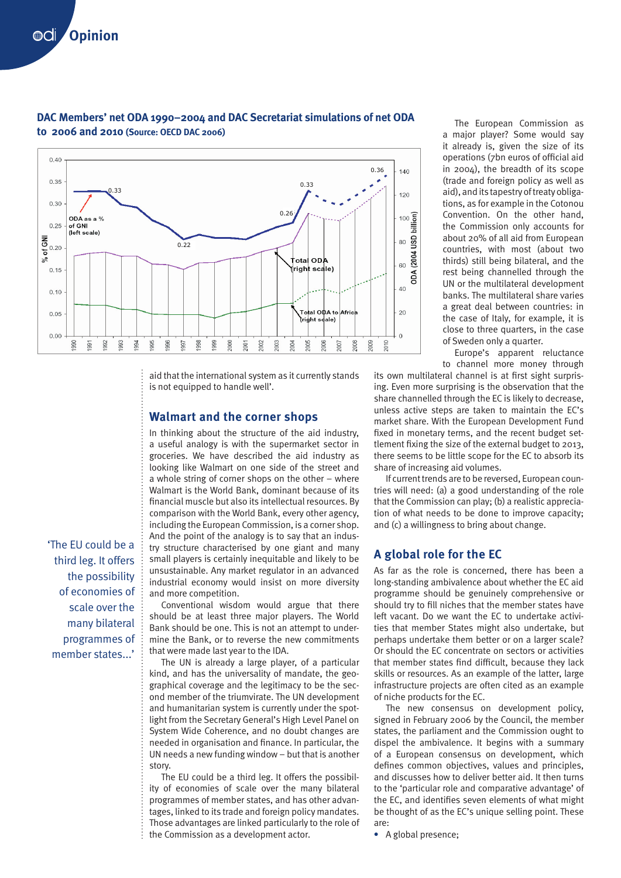

## **DAC Members' net ODA 1990–2004 and DAC Secretariat simulations of net ODA to 2006 and 2010 (Source: OECD DAC 2006)**

aid that the international system as it currently stands is not equipped to handle well'.

### **Walmart and the corner shops**

In thinking about the structure of the aid industry, a useful analogy is with the supermarket sector in groceries. We have described the aid industry as looking like Walmart on one side of the street and a whole string of corner shops on the other – where Walmart is the World Bank, dominant because of its financial muscle but also its intellectual resources. By comparison with the World Bank, every other agency, including the European Commission, is a corner shop. And the point of the analogy is to say that an industry structure characterised by one giant and many small players is certainly inequitable and likely to be unsustainable. Any market regulator in an advanced industrial economy would insist on more diversity and more competition.

Conventional wisdom would argue that there should be at least three major players. The World Bank should be one. This is not an attempt to undermine the Bank, or to reverse the new commitments that were made last year to the IDA.

The UN is already a large player, of a particular kind, and has the universality of mandate, the geographical coverage and the legitimacy to be the second member of the triumvirate. The UN development and humanitarian system is currently under the spotlight from the Secretary General's High Level Panel on System Wide Coherence, and no doubt changes are needed in organisation and finance. In particular, the UN needs a new funding window – but that is another story.

The EU could be a third leg. It offers the possibility of economies of scale over the many bilateral programmes of member states, and has other advantages, linked to its trade and foreign policy mandates. Those advantages are linked particularly to the role of the Commission as a development actor.

The European Commission as a major player? Some would say it already is, given the size of its operations (7bn euros of official aid in 2004), the breadth of its scope (trade and foreign policy as well as aid), and its tapestry of treaty obligations, as for example in the Cotonou Convention. On the other hand, the Commission only accounts for about 20% of all aid from European countries, with most (about two thirds) still being bilateral, and the rest being channelled through the UN or the multilateral development banks. The multilateral share varies a great deal between countries: in the case of Italy, for example, it is close to three quarters, in the case of Sweden only a quarter.

Europe's apparent reluctance to channel more money through

its own multilateral channel is at first sight surprising. Even more surprising is the observation that the share channelled through the EC is likely to decrease, unless active steps are taken to maintain the EC's market share. With the European Development Fund fixed in monetary terms, and the recent budget settlement fixing the size of the external budget to 2013, there seems to be little scope for the EC to absorb its share of increasing aid volumes.

If current trends are to be reversed, European countries will need: (a) a good understanding of the role that the Commission can play; (b) a realistic appreciation of what needs to be done to improve capacity; and (c) a willingness to bring about change.

#### **A global role for the EC**

As far as the role is concerned, there has been a long-standing ambivalence about whether the EC aid programme should be genuinely comprehensive or should try to fill niches that the member states have left vacant. Do we want the EC to undertake activities that member States might also undertake, but perhaps undertake them better or on a larger scale? Or should the EC concentrate on sectors or activities that member states find difficult, because they lack skills or resources. As an example of the latter, large infrastructure projects are often cited as an example of niche products for the EC.

The new consensus on development policy, signed in February 2006 by the Council, the member states, the parliament and the Commission ought to dispel the ambivalence. It begins with a summary of a European consensus on development, which defines common objectives, values and principles, and discusses how to deliver better aid. It then turns to the 'particular role and comparative advantage' of the EC, and identifies seven elements of what might be thought of as the EC's unique selling point. These are:

**•** A global presence;

third leg. It offers the possibility of economies of scale over the many bilateral programmes of member states...'

'The EU could be a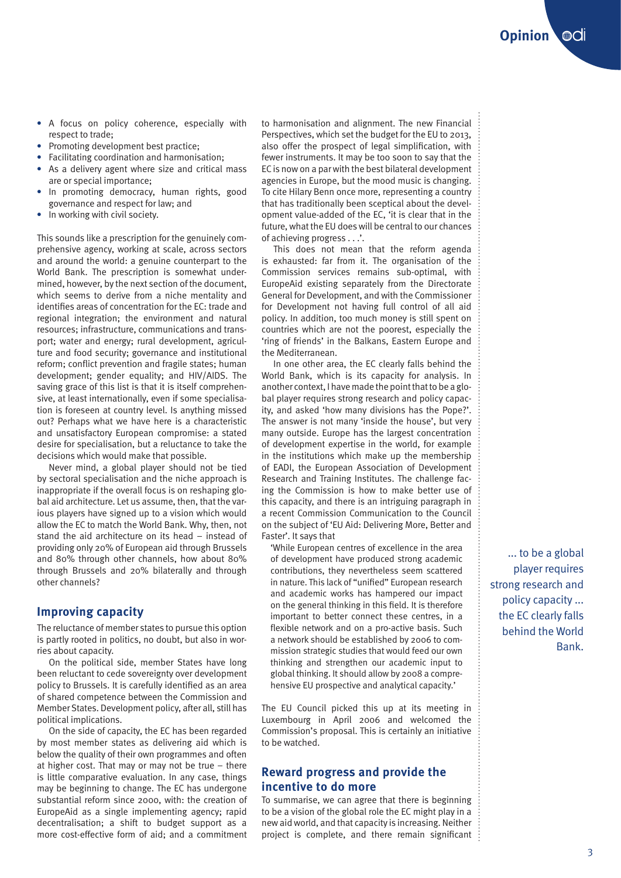- **•** A focus on policy coherence, especially with respect to trade;
- **•** Promoting development best practice;
- **•** Facilitating coordination and harmonisation;
- **•** As a delivery agent where size and critical mass are or special importance;
- **•** In promoting democracy, human rights, good governance and respect for law; and
- **•** In working with civil society.

This sounds like a prescription for the genuinely comprehensive agency, working at scale, across sectors and around the world: a genuine counterpart to the World Bank. The prescription is somewhat undermined, however, by the next section of the document, which seems to derive from a niche mentality and identifies areas of concentration for the EC: trade and regional integration; the environment and natural resources; infrastructure, communications and transport; water and energy; rural development, agriculture and food security; governance and institutional reform; conflict prevention and fragile states; human development; gender equality; and HIV/AIDS. The saving grace of this list is that it is itself comprehensive, at least internationally, even if some specialisation is foreseen at country level. Is anything missed out? Perhaps what we have here is a characteristic and unsatisfactory European compromise: a stated desire for specialisation, but a reluctance to take the decisions which would make that possible.

Never mind, a global player should not be tied by sectoral specialisation and the niche approach is inappropriate if the overall focus is on reshaping global aid architecture. Let us assume, then, that the various players have signed up to a vision which would allow the EC to match the World Bank. Why, then, not stand the aid architecture on its head – instead of providing only 20% of European aid through Brussels and 80% through other channels, how about 80% through Brussels and 20% bilaterally and through other channels?

#### **Improving capacity**

The reluctance of member states to pursue this option is partly rooted in politics, no doubt, but also in worries about capacity.

On the political side, member States have long been reluctant to cede sovereignty over development policy to Brussels. It is carefully identified as an area of shared competence between the Commission and Member States. Development policy, after all, still has political implications.

On the side of capacity, the EC has been regarded by most member states as delivering aid which is below the quality of their own programmes and often at higher cost. That may or may not be true – there is little comparative evaluation. In any case, things may be beginning to change. The EC has undergone substantial reform since 2000, with: the creation of EuropeAid as a single implementing agency; rapid decentralisation; a shift to budget support as a more cost-effective form of aid; and a commitment to harmonisation and alignment. The new Financial Perspectives, which set the budget for the EU to 2013, also offer the prospect of legal simplification, with fewer instruments. It may be too soon to say that the EC is now on a par with the best bilateral development agencies in Europe, but the mood music is changing. To cite Hilary Benn once more, representing a country that has traditionally been sceptical about the development value-added of the EC, 'it is clear that in the future, what the EU does will be central to our chances of achieving progress . . .'.

This does not mean that the reform agenda is exhausted: far from it. The organisation of the Commission services remains sub-optimal, with EuropeAid existing separately from the Directorate General for Development, and with the Commissioner for Development not having full control of all aid policy. In addition, too much money is still spent on countries which are not the poorest, especially the 'ring of friends' in the Balkans, Eastern Europe and the Mediterranean.

In one other area, the EC clearly falls behind the World Bank, which is its capacity for analysis. In another context, I have made the point that to be a global player requires strong research and policy capacity, and asked 'how many divisions has the Pope?'. The answer is not many 'inside the house', but very many outside. Europe has the largest concentration of development expertise in the world, for example in the institutions which make up the membership of EADI, the European Association of Development Research and Training Institutes. The challenge facing the Commission is how to make better use of this capacity, and there is an intriguing paragraph in a recent Commission Communication to the Council on the subject of 'EU Aid: Delivering More, Better and Faster'. It says that

'While European centres of excellence in the area of development have produced strong academic contributions, they nevertheless seem scattered in nature. This lack of "unified" European research and academic works has hampered our impact on the general thinking in this field. It is therefore important to better connect these centres, in a flexible network and on a pro-active basis. Such a network should be established by 2006 to commission strategic studies that would feed our own thinking and strengthen our academic input to global thinking. It should allow by 2008 a comprehensive EU prospective and analytical capacity.'

The EU Council picked this up at its meeting in Luxembourg in April 2006 and welcomed the Commission's proposal. This is certainly an initiative to be watched.

# **Reward progress and provide the incentive to do more**

To summarise, we can agree that there is beginning to be a vision of the global role the EC might play in a new aid world, and that capacity is increasing. Neither project is complete, and there remain significant

... to be a global player requires strong research and policy capacity ... the EC clearly falls behind the World Bank.